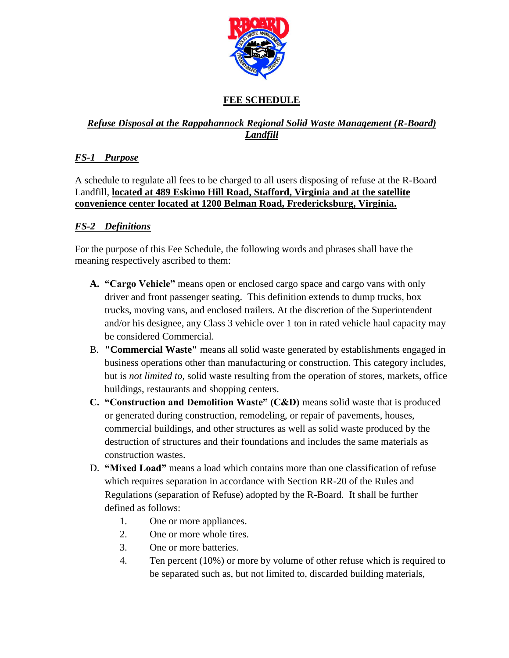

# **FEE SCHEDULE**

### *Refuse Disposal at the Rappahannock Regional Solid Waste Management (R-Board) Landfill*

## *FS-1 Purpose*

A schedule to regulate all fees to be charged to all users disposing of refuse at the R-Board Landfill, **located at 489 Eskimo Hill Road, Stafford, Virginia and at the satellite convenience center located at 1200 Belman Road, Fredericksburg, Virginia.**

### *FS-2 Definitions*

For the purpose of this Fee Schedule, the following words and phrases shall have the meaning respectively ascribed to them:

- **A. "Cargo Vehicle"** means open or enclosed cargo space and cargo vans with only driver and front passenger seating. This definition extends to dump trucks, box trucks, moving vans, and enclosed trailers. At the discretion of the Superintendent and/or his designee, any Class 3 vehicle over 1 ton in rated vehicle haul capacity may be considered Commercial.
- B. **"Commercial Waste"** means all solid waste generated by establishments engaged in business operations other than manufacturing or construction. This category includes, but is *not limited to,* solid waste resulting from the operation of stores, markets, office buildings, restaurants and shopping centers.
- **C. "Construction and Demolition Waste" (C&D)** means solid waste that is produced or generated during construction, remodeling, or repair of pavements, houses, commercial buildings, and other structures as well as solid waste produced by the destruction of structures and their foundations and includes the same materials as construction wastes.
- D. **"Mixed Load"** means a load which contains more than one classification of refuse which requires separation in accordance with Section RR-20 of the Rules and Regulations (separation of Refuse) adopted by the R-Board. It shall be further defined as follows:
	- 1. One or more appliances.
	- 2. One or more whole tires.
	- 3. One or more batteries.
	- 4. Ten percent (10%) or more by volume of other refuse which is required to be separated such as, but not limited to, discarded building materials,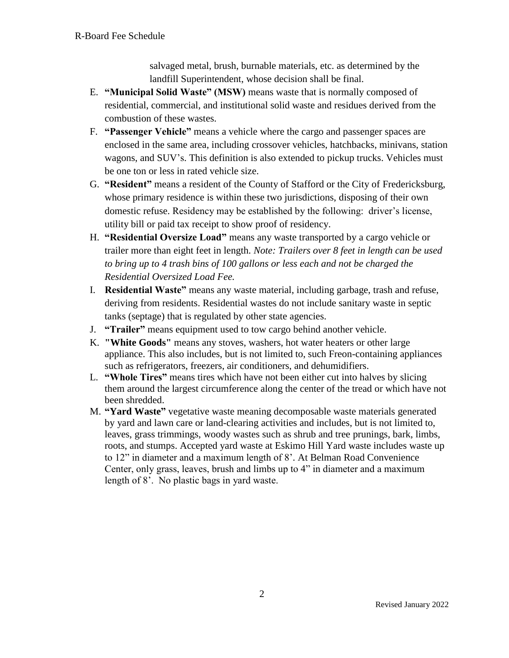salvaged metal, brush, burnable materials, etc. as determined by the landfill Superintendent, whose decision shall be final.

- E. **"Municipal Solid Waste" (MSW)** means waste that is normally composed of residential, commercial, and institutional solid waste and residues derived from the combustion of these wastes.
- F. **"Passenger Vehicle"** means a vehicle where the cargo and passenger spaces are enclosed in the same area, including crossover vehicles, hatchbacks, minivans, station wagons, and SUV's. This definition is also extended to pickup trucks. Vehicles must be one ton or less in rated vehicle size.
- G. **"Resident"** means a resident of the County of Stafford or the City of Fredericksburg, whose primary residence is within these two jurisdictions, disposing of their own domestic refuse. Residency may be established by the following: driver's license, utility bill or paid tax receipt to show proof of residency.
- H. **"Residential Oversize Load"** means any waste transported by a cargo vehicle or trailer more than eight feet in length. *Note: Trailers over 8 feet in length can be used to bring up to 4 trash bins of 100 gallons or less each and not be charged the Residential Oversized Load Fee.*
- I. **Residential Waste"** means any waste material, including garbage, trash and refuse, deriving from residents. Residential wastes do not include sanitary waste in septic tanks (septage) that is regulated by other state agencies.
- J. **"Trailer"** means equipment used to tow cargo behind another vehicle.
- K. **"White Goods"** means any stoves, washers, hot water heaters or other large appliance. This also includes, but is not limited to, such Freon-containing appliances such as refrigerators, freezers, air conditioners, and dehumidifiers.
- L. **"Whole Tires"** means tires which have not been either cut into halves by slicing them around the largest circumference along the center of the tread or which have not been shredded.
- M. **"Yard Waste"** vegetative waste meaning decomposable waste materials generated by yard and lawn care or land-clearing activities and includes, but is not limited to, leaves, grass trimmings, woody wastes such as shrub and tree prunings, bark, limbs, roots, and stumps. Accepted yard waste at Eskimo Hill Yard waste includes waste up to 12" in diameter and a maximum length of 8'. At Belman Road Convenience Center, only grass, leaves, brush and limbs up to 4" in diameter and a maximum length of 8'. No plastic bags in yard waste.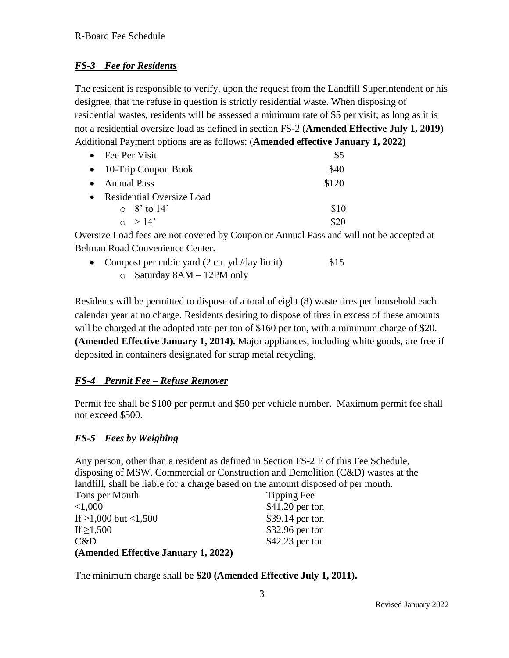### *FS-3 Fee for Residents*

The resident is responsible to verify, upon the request from the Landfill Superintendent or his designee, that the refuse in question is strictly residential waste. When disposing of residential wastes, residents will be assessed a minimum rate of \$5 per visit; as long as it is not a residential oversize load as defined in section FS-2 (**Amended Effective July 1, 2019**) Additional Payment options are as follows: (**Amended effective January 1, 2022)**

|           | $\bullet$ Fee Per Visit          | \$5   |
|-----------|----------------------------------|-------|
|           | $\bullet$ 10-Trip Coupon Book    | \$40  |
| $\bullet$ | Annual Pass                      | \$120 |
| $\bullet$ | <b>Residential Oversize Load</b> |       |
|           | $\circ$ 8' to 14'                | \$10  |
|           | $\Omega > 14'$                   |       |

Oversize Load fees are not covered by Coupon or Annual Pass and will not be accepted at Belman Road Convenience Center.

| • Compost per cubic yard $(2 \text{ cu. yd./day limit})$ | \$15 |
|----------------------------------------------------------|------|
| $\circ$ Saturday 8AM – 12PM only                         |      |

Residents will be permitted to dispose of a total of eight (8) waste tires per household each calendar year at no charge. Residents desiring to dispose of tires in excess of these amounts will be charged at the adopted rate per ton of \$160 per ton, with a minimum charge of \$20. **(Amended Effective January 1, 2014).** Major appliances, including white goods, are free if deposited in containers designated for scrap metal recycling.

### *FS-4 Permit Fee – Refuse Remover*

Permit fee shall be \$100 per permit and \$50 per vehicle number. Maximum permit fee shall not exceed \$500.

#### *FS-5 Fees by Weighing*

Any person, other than a resident as defined in Section FS-2 E of this Fee Schedule, disposing of MSW, Commercial or Construction and Demolition (C&D) wastes at the landfill, shall be liable for a charge based on the amount disposed of per month.

| Tons per Month                      | Tipping Fee      |
|-------------------------------------|------------------|
| ${<}1,000$                          | $$41.20$ per ton |
| If $\geq$ 1,000 but <1,500          | \$39.14 per ton  |
| If $\geq$ 1,500                     | \$32.96 per ton  |
| C&D                                 | $$42.23$ per ton |
| (Amended Effective January 1, 2022) |                  |

The minimum charge shall be **\$20 (Amended Effective July 1, 2011).**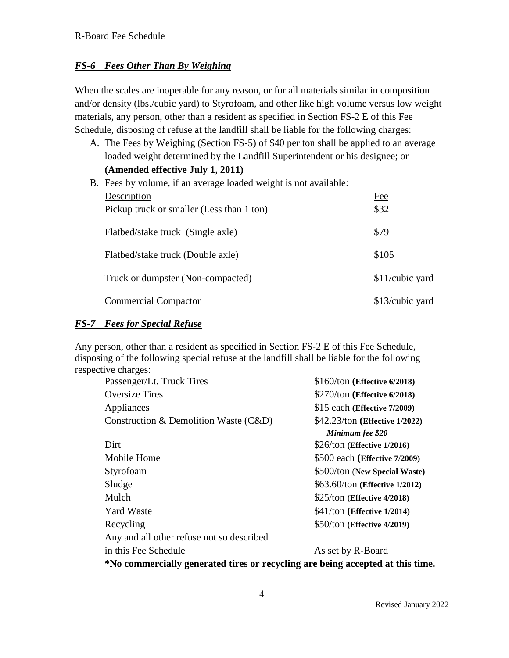#### *FS-6 Fees Other Than By Weighing*

When the scales are inoperable for any reason, or for all materials similar in composition and/or density (lbs./cubic yard) to Styrofoam, and other like high volume versus low weight materials, any person, other than a resident as specified in Section FS-2 E of this Fee Schedule, disposing of refuse at the landfill shall be liable for the following charges:

A. The Fees by Weighing (Section FS-5) of \$40 per ton shall be applied to an average loaded weight determined by the Landfill Superintendent or his designee; or **(Amended effective July 1, 2011)**

| B. Fees by volume, if an average loaded weight is not available: |                 |  |
|------------------------------------------------------------------|-----------------|--|
| Description                                                      | Fee             |  |
| Pickup truck or smaller (Less than 1 ton)                        | \$32            |  |
| Flatbed/stake truck (Single axle)                                | \$79            |  |
| Flatbed/stake truck (Double axle)                                | \$105           |  |
| Truck or dumpster (Non-compacted)                                | \$11/cubic yard |  |
| <b>Commercial Compactor</b>                                      | \$13/cubic yard |  |

#### *FS-7 Fees for Special Refuse*

Any person, other than a resident as specified in Section FS-2 E of this Fee Schedule, disposing of the following special refuse at the landfill shall be liable for the following respective charges:

| Passenger/Lt. Truck Tires                                                      | \$160/ton (Effective 6/2018)   |  |  |  |
|--------------------------------------------------------------------------------|--------------------------------|--|--|--|
| <b>Oversize Tires</b>                                                          | \$270/ton (Effective 6/2018)   |  |  |  |
| Appliances                                                                     | \$15 each (Effective 7/2009)   |  |  |  |
| Construction & Demolition Waste (C&D)                                          | \$42.23/ton (Effective 1/2022) |  |  |  |
|                                                                                | Minimum fee \$20               |  |  |  |
| Dirt                                                                           | $$26/ton$ (Effective 1/2016)   |  |  |  |
| Mobile Home                                                                    | \$500 each (Effective 7/2009)  |  |  |  |
| Styrofoam                                                                      | \$500/ton (New Special Waste)  |  |  |  |
| Sludge                                                                         | \$63.60/ton (Effective 1/2012) |  |  |  |
| Mulch                                                                          | $$25/ton$ (Effective 4/2018)   |  |  |  |
| <b>Yard Waste</b>                                                              | $$41/ton$ (Effective 1/2014)   |  |  |  |
| Recycling                                                                      | \$50/ton (Effective 4/2019)    |  |  |  |
| Any and all other refuse not so described                                      |                                |  |  |  |
| in this Fee Schedule                                                           | As set by R-Board              |  |  |  |
| *No commercially generated tires or recycling are being accepted at this time. |                                |  |  |  |
|                                                                                |                                |  |  |  |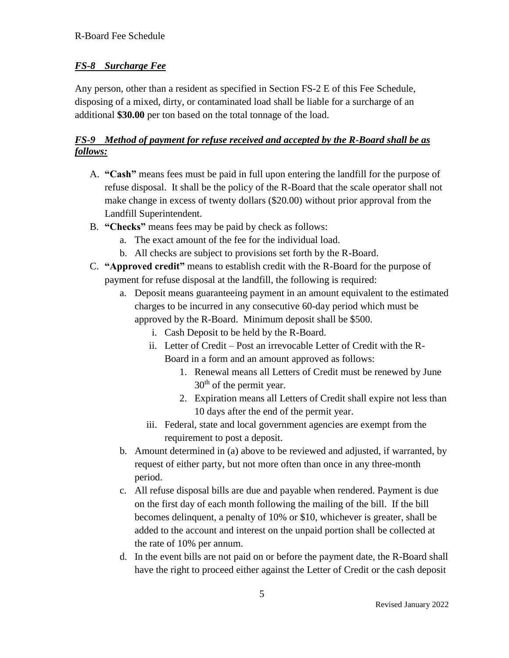### *FS-8 Surcharge Fee*

Any person, other than a resident as specified in Section FS-2 E of this Fee Schedule, disposing of a mixed, dirty, or contaminated load shall be liable for a surcharge of an additional **\$30.00** per ton based on the total tonnage of the load.

### *FS-9 Method of payment for refuse received and accepted by the R-Board shall be as follows:*

- A. **"Cash"** means fees must be paid in full upon entering the landfill for the purpose of refuse disposal. It shall be the policy of the R-Board that the scale operator shall not make change in excess of twenty dollars (\$20.00) without prior approval from the Landfill Superintendent.
- B. **"Checks"** means fees may be paid by check as follows:
	- a. The exact amount of the fee for the individual load.
	- b. All checks are subject to provisions set forth by the R-Board.
- C. **"Approved credit"** means to establish credit with the R-Board for the purpose of payment for refuse disposal at the landfill, the following is required:
	- a. Deposit means guaranteeing payment in an amount equivalent to the estimated charges to be incurred in any consecutive 60-day period which must be approved by the R-Board. Minimum deposit shall be \$500.
		- i. Cash Deposit to be held by the R-Board.
		- ii. Letter of Credit Post an irrevocable Letter of Credit with the R-Board in a form and an amount approved as follows:
			- 1. Renewal means all Letters of Credit must be renewed by June  $30<sup>th</sup>$  of the permit year.
			- 2. Expiration means all Letters of Credit shall expire not less than 10 days after the end of the permit year.
		- iii. Federal, state and local government agencies are exempt from the requirement to post a deposit.
	- b. Amount determined in (a) above to be reviewed and adjusted, if warranted, by request of either party, but not more often than once in any three-month period.
	- c. All refuse disposal bills are due and payable when rendered. Payment is due on the first day of each month following the mailing of the bill. If the bill becomes delinquent, a penalty of 10% or \$10, whichever is greater, shall be added to the account and interest on the unpaid portion shall be collected at the rate of 10% per annum.
	- d. In the event bills are not paid on or before the payment date, the R-Board shall have the right to proceed either against the Letter of Credit or the cash deposit